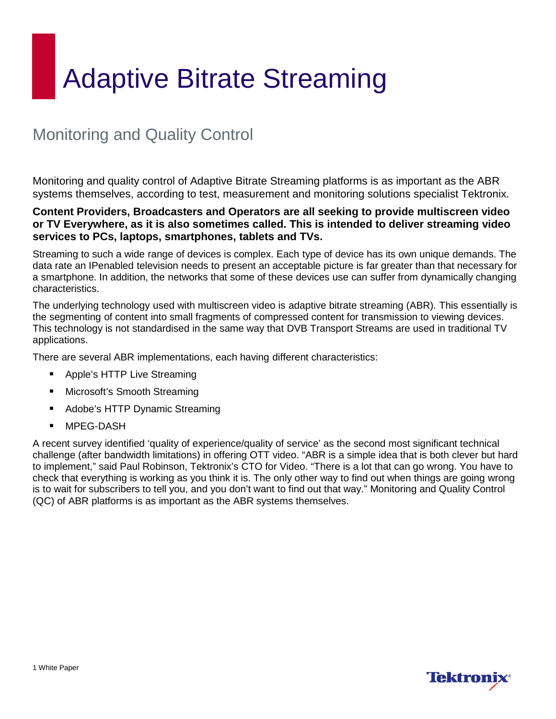# Monitoring and Quality Control

Monitoring and quality control of Adaptive Bitrate Streaming platforms is as important as the ABR systems themselves, according to test, measurement and monitoring solutions specialist Tektronix.

#### **Content Providers, Broadcasters and Operators are all seeking to provide multiscreen video or TV Everywhere, as it is also sometimes called. This is intended to deliver streaming video services to PCs, laptops, smartphones, tablets and TVs.**

Streaming to such a wide range of devices is complex. Each type of device has its own unique demands. The data rate an IPenabled television needs to present an acceptable picture is far greater than that necessary for a smartphone. In addition, the networks that some of these devices use can suffer from dynamically changing characteristics.

The underlying technology used with multiscreen video is adaptive bitrate streaming (ABR). This essentially is the segmenting of content into small fragments of compressed content for transmission to viewing devices. This technology is not standardised in the same way that DVB Transport Streams are used in traditional TV applications.

There are several ABR implementations, each having different characteristics:

- Apple's HTTP Live Streaming
- **Microsoft's Smooth Streaming**
- Adobe's HTTP Dynamic Streaming
- MPEG-DASH

A recent survey identified 'quality of experience/quality of service' as the second most significant technical challenge (after bandwidth limitations) in offering OTT video. "ABR is a simple idea that is both clever but hard to implement," said Paul Robinson, Tektronix's CTO for Video. "There is a lot that can go wrong. You have to check that everything is working as you think it is. The only other way to find out when things are going wrong is to wait for subscribers to tell you, and you don't want to find out that way." Monitoring and Quality Control (QC) of ABR platforms is as important as the ABR systems themselves.

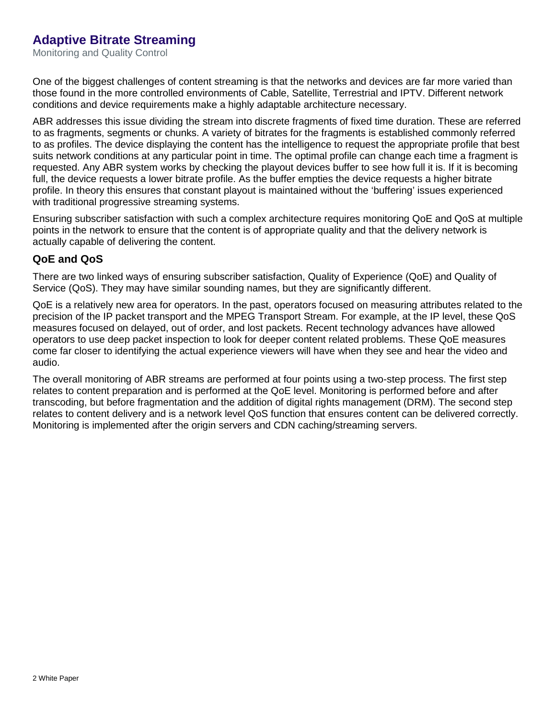Monitoring and Quality Control

One of the biggest challenges of content streaming is that the networks and devices are far more varied than those found in the more controlled environments of Cable, Satellite, Terrestrial and IPTV. Different network conditions and device requirements make a highly adaptable architecture necessary.

ABR addresses this issue dividing the stream into discrete fragments of fixed time duration. These are referred to as fragments, segments or chunks. A variety of bitrates for the fragments is established commonly referred to as profiles. The device displaying the content has the intelligence to request the appropriate profile that best suits network conditions at any particular point in time. The optimal profile can change each time a fragment is requested. Any ABR system works by checking the playout devices buffer to see how full it is. If it is becoming full, the device requests a lower bitrate profile. As the buffer empties the device requests a higher bitrate profile. In theory this ensures that constant playout is maintained without the 'buffering' issues experienced with traditional progressive streaming systems.

Ensuring subscriber satisfaction with such a complex architecture requires monitoring QoE and QoS at multiple points in the network to ensure that the content is of appropriate quality and that the delivery network is actually capable of delivering the content.

#### **QoE and QoS**

There are two linked ways of ensuring subscriber satisfaction, Quality of Experience (QoE) and Quality of Service (QoS). They may have similar sounding names, but they are significantly different.

QoE is a relatively new area for operators. In the past, operators focused on measuring attributes related to the precision of the IP packet transport and the MPEG Transport Stream. For example, at the IP level, these QoS measures focused on delayed, out of order, and lost packets. Recent technology advances have allowed operators to use deep packet inspection to look for deeper content related problems. These QoE measures come far closer to identifying the actual experience viewers will have when they see and hear the video and audio.

The overall monitoring of ABR streams are performed at four points using a two-step process. The first step relates to content preparation and is performed at the QoE level. Monitoring is performed before and after transcoding, but before fragmentation and the addition of digital rights management (DRM). The second step relates to content delivery and is a network level QoS function that ensures content can be delivered correctly. Monitoring is implemented after the origin servers and CDN caching/streaming servers.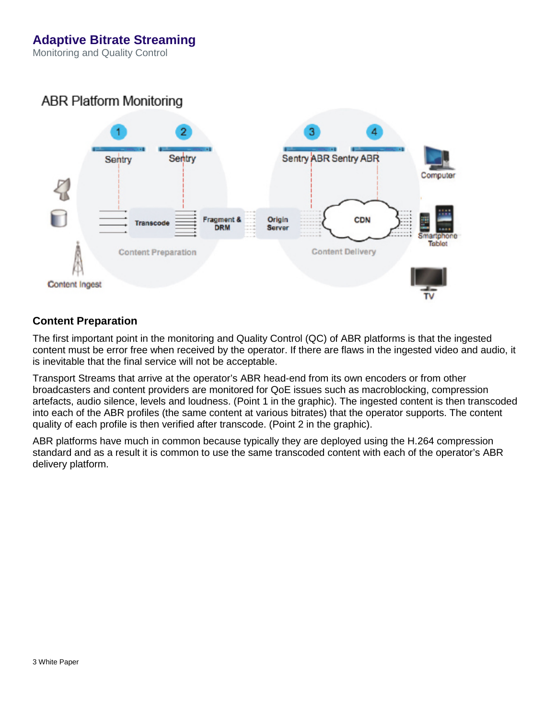Monitoring and Quality Control

### **ABR Platform Monitoring**



#### **Content Preparation**

The first important point in the monitoring and Quality Control (QC) of ABR platforms is that the ingested content must be error free when received by the operator. If there are flaws in the ingested video and audio, it is inevitable that the final service will not be acceptable.

Transport Streams that arrive at the operator's ABR head-end from its own encoders or from other broadcasters and content providers are monitored for QoE issues such as macroblocking, compression artefacts, audio silence, levels and loudness. (Point 1 in the graphic). The ingested content is then transcoded into each of the ABR profiles (the same content at various bitrates) that the operator supports. The content quality of each profile is then verified after transcode. (Point 2 in the graphic).

ABR platforms have much in common because typically they are deployed using the H.264 compression standard and as a result it is common to use the same transcoded content with each of the operator's ABR delivery platform.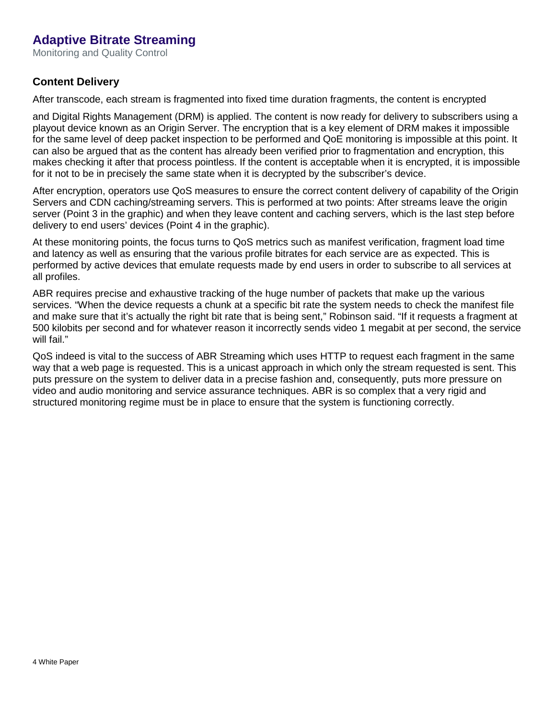Monitoring and Quality Control

#### **Content Delivery**

After transcode, each stream is fragmented into fixed time duration fragments, the content is encrypted

and Digital Rights Management (DRM) is applied. The content is now ready for delivery to subscribers using a playout device known as an Origin Server. The encryption that is a key element of DRM makes it impossible for the same level of deep packet inspection to be performed and QoE monitoring is impossible at this point. It can also be argued that as the content has already been verified prior to fragmentation and encryption, this makes checking it after that process pointless. If the content is acceptable when it is encrypted, it is impossible for it not to be in precisely the same state when it is decrypted by the subscriber's device.

After encryption, operators use QoS measures to ensure the correct content delivery of capability of the Origin Servers and CDN caching/streaming servers. This is performed at two points: After streams leave the origin server (Point 3 in the graphic) and when they leave content and caching servers, which is the last step before delivery to end users' devices (Point 4 in the graphic).

At these monitoring points, the focus turns to QoS metrics such as manifest verification, fragment load time and latency as well as ensuring that the various profile bitrates for each service are as expected. This is performed by active devices that emulate requests made by end users in order to subscribe to all services at all profiles.

ABR requires precise and exhaustive tracking of the huge number of packets that make up the various services. "When the device requests a chunk at a specific bit rate the system needs to check the manifest file and make sure that it's actually the right bit rate that is being sent," Robinson said. "If it requests a fragment at 500 kilobits per second and for whatever reason it incorrectly sends video 1 megabit at per second, the service will fail."

QoS indeed is vital to the success of ABR Streaming which uses HTTP to request each fragment in the same way that a web page is requested. This is a unicast approach in which only the stream requested is sent. This puts pressure on the system to deliver data in a precise fashion and, consequently, puts more pressure on video and audio monitoring and service assurance techniques. ABR is so complex that a very rigid and structured monitoring regime must be in place to ensure that the system is functioning correctly.